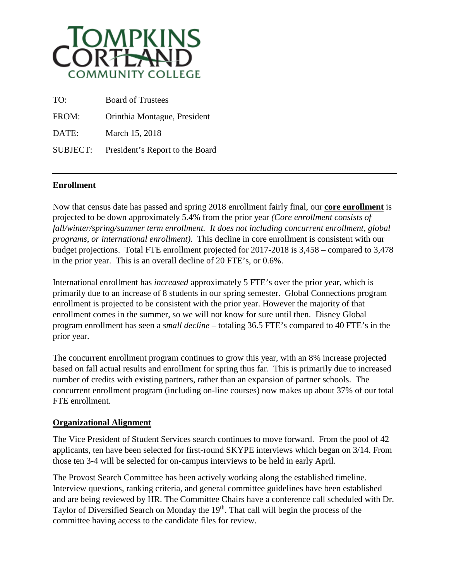

| TO:             | <b>Board of Trustees</b>        |
|-----------------|---------------------------------|
| FROM:           | Orinthia Montague, President    |
| DATE:           | March 15, 2018                  |
| <b>SUBJECT:</b> | President's Report to the Board |

## **Enrollment**

Now that census date has passed and spring 2018 enrollment fairly final, our **core enrollment** is projected to be down approximately 5.4% from the prior year *(Core enrollment consists of fall/winter/spring/summer term enrollment. It does not including concurrent enrollment, global programs, or international enrollment)*. This decline in core enrollment is consistent with our budget projections. Total FTE enrollment projected for 2017-2018 is 3,458 – compared to 3,478 in the prior year. This is an overall decline of 20 FTE's, or 0.6%.

International enrollment has *increased* approximately 5 FTE's over the prior year, which is primarily due to an increase of 8 students in our spring semester. Global Connections program enrollment is projected to be consistent with the prior year. However the majority of that enrollment comes in the summer, so we will not know for sure until then. Disney Global program enrollment has seen a *small decline* – totaling 36.5 FTE's compared to 40 FTE's in the prior year.

The concurrent enrollment program continues to grow this year, with an 8% increase projected based on fall actual results and enrollment for spring thus far. This is primarily due to increased number of credits with existing partners, rather than an expansion of partner schools. The concurrent enrollment program (including on-line courses) now makes up about 37% of our total FTE enrollment.

## **Organizational Alignment**

The Vice President of Student Services search continues to move forward. From the pool of 42 applicants, ten have been selected for first-round SKYPE interviews which began on 3/14. From those ten 3-4 will be selected for on-campus interviews to be held in early April.

The Provost Search Committee has been actively working along the established timeline. Interview questions, ranking criteria, and general committee guidelines have been established and are being reviewed by HR. The Committee Chairs have a conference call scheduled with Dr. Taylor of Diversified Search on Monday the 19<sup>th</sup>. That call will begin the process of the committee having access to the candidate files for review.